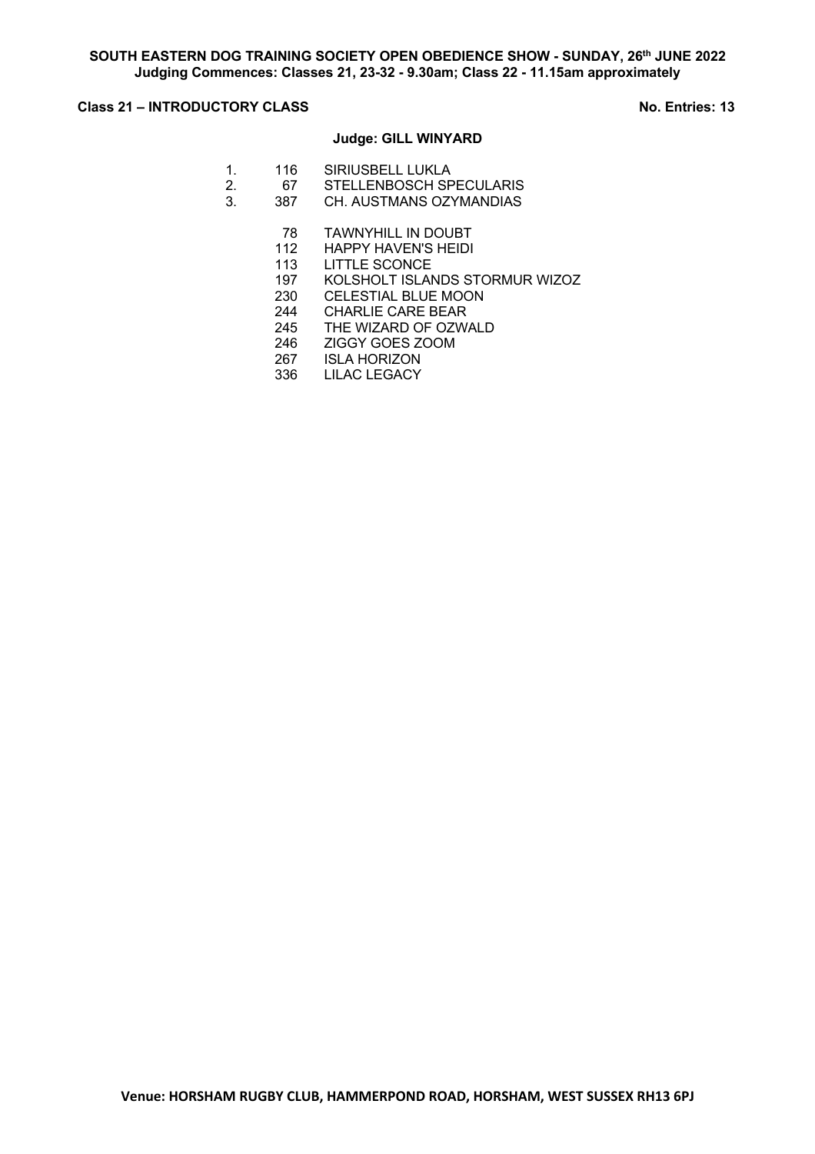# **Class 21 – INTRODUCTORY CLASS** No. Entries: 13

# **Judge: GILL WINYARD**

- 1. 116 SIRIUSBELL LUKLA
- 2. 67 STELLENBOSCH SPECULARIS<br>3. 387 CH. AUSTMANS OZYMANDIAS
- CH. AUSTMANS OZYMANDIAS
	- 78 TAWNYHILL IN DOUBT
	- 112 HAPPY HAVEN'S HEIDI
	- 113 LITTLE SCONCE
	- 197 KOLSHOLT ISLANDS STORMUR WIZOZ
	- 230 CELESTIAL BLUE MOON
	- 244 CHARLIE CARE BEAR
	- 245 THE WIZARD OF OZWALD
	- 246 ZIGGY GOES ZOOM
	- 267 ISLA HORIZON
	- 336 LILAC LEGACY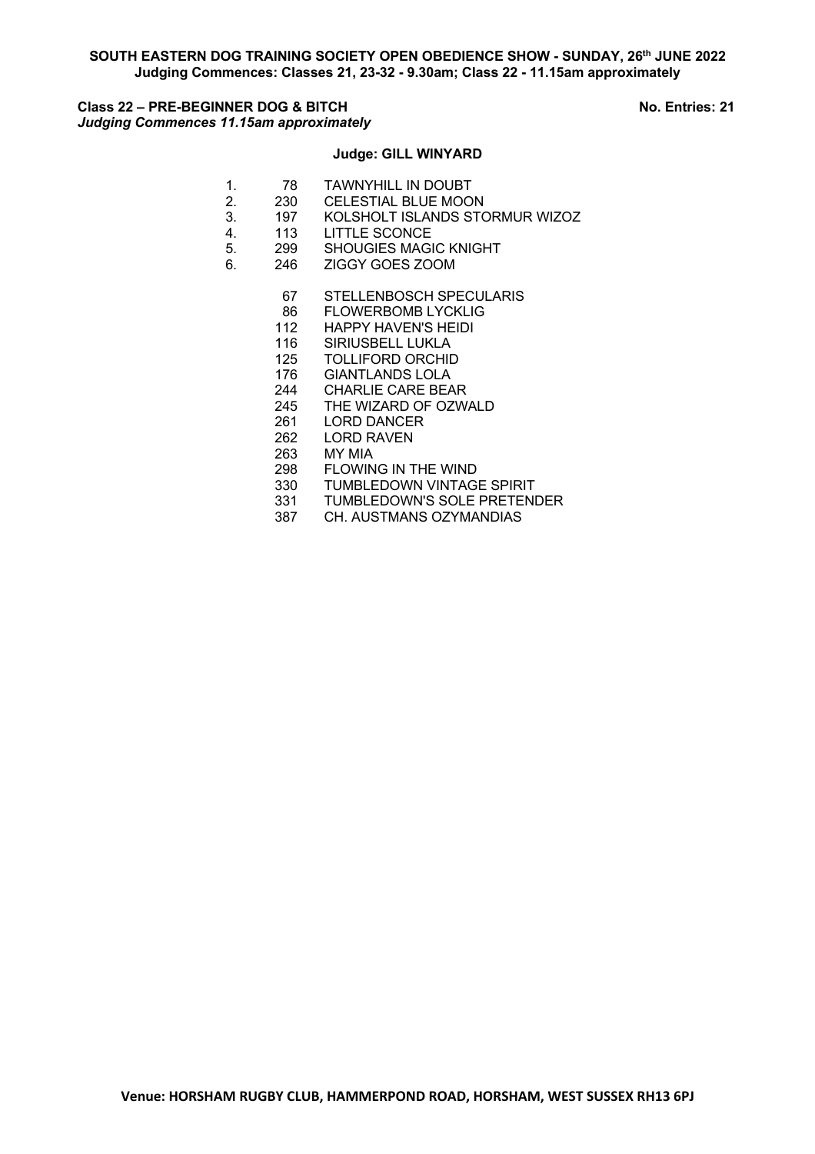# **Class 22 – PRE-BEGINNER DOG & BITCH No. Entries: 21** *Judging Commences 11.15am approximately*

# **Judge: GILL WINYARD**

- 1. 78 TAWNYHILL IN DOUBT<br>2. 230 CELESTIAL BLUE MOO
- 2. 230 CELESTIAL BLUE MOON<br>3. 197 KOLSHOLT ISLANDS STO
- 3. 197 KOLSHOLT ISLANDS STORMUR WIZOZ<br>4 113 LITTLE SCONCE
- 113 LITTLE SCONCE
- 5. 299 SHOUGIES MAGIC KNIGHT
- 6. 246 ZIGGY GOES ZOOM
	- 67 STELLENBOSCH SPECULARIS
	- 86 FLOWERBOMB LYCKLIG
	- 112 HAPPY HAVEN'S HEIDI
	- 116 SIRIUSBELL LUKLA
	- 125 TOLLIFORD ORCHID
	- 176 GIANTLANDS LOLA
	- 244 CHARLIE CARE BEAR
	- 245 THE WIZARD OF OZWALD<br>261 LORD DANCER
	- **LORD DANCER**
	- 262 LORD RAVEN
	- 263 MY MIA
	-
	- TUMBLEDOWN VINTAGE SPIRIT
	- 298 FLOWING IN THE WIND<br>330 TUMBLEDOWN VINTAG<br>331 TUMBLEDOWN'S SOLE TUMBLEDOWN'S SOLE PRETENDER
	- 387 CH. AUSTMANS OZYMANDIAS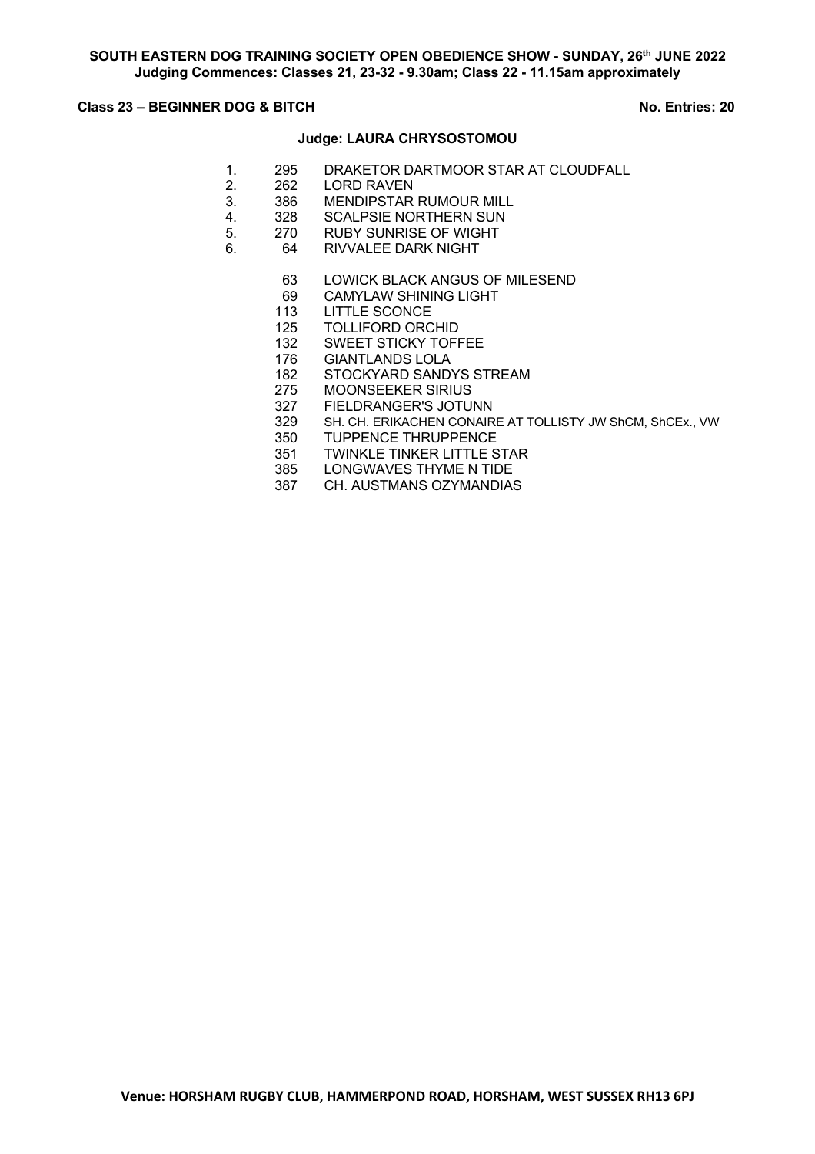## **Class 23 – BEGINNER DOG & BITCH No. Entries: 20**

### **Judge: LAURA CHRYSOSTOMOU**

- 1. 295 DRAKETOR DARTMOOR STAR AT CLOUDFALL
- 2. 262 LORD RAVEN
- 3. 386 MENDIPSTAR RUMOUR MILL<br>4. 328 SCALPSIE NORTHERN SUN
- 4. 328 SCALPSIE NORTHERN SUN<br>5. 270 RUBY SUNRISE OF WIGHT
- 270 RUBY SUNRISE OF WIGHT
- 6. 64 RIVVALEE DARK NIGHT
	- 63 LOWICK BLACK ANGUS OF MILESEND
	- 69 CAMYLAW SHINING LIGHT
	- 113 LITTLE SCONCE
	- 125 TOLLIFORD ORCHID
	- 132 SWEET STICKY TOFFEE
	- 176 GIANTLANDS LOLA
	- 182 STOCKYARD SANDYS STREAM<br>275 MOONSEEKER SIRIUS
	- 275 MOONSEEKER SIRIUS<br>327 FIELDRANGER'S JOTUI
	- FIELDRANGER'S JOTUNN
	- 329 SH. CH. ERIKACHEN CONAIRE AT TOLLISTY JW ShCM, ShCEx., VW
	- 350 TUPPENCE THRUPPENCE
	-
	- LONGWAVES THYME N TIDE
	- 351 TWINKLE TINKER LITTLE STAR<br>385 LONGWAVES THYME N TIDE<br>387 CH. AUSTMANS OZYMANDIAS CH. AUSTMANS OZYMANDIAS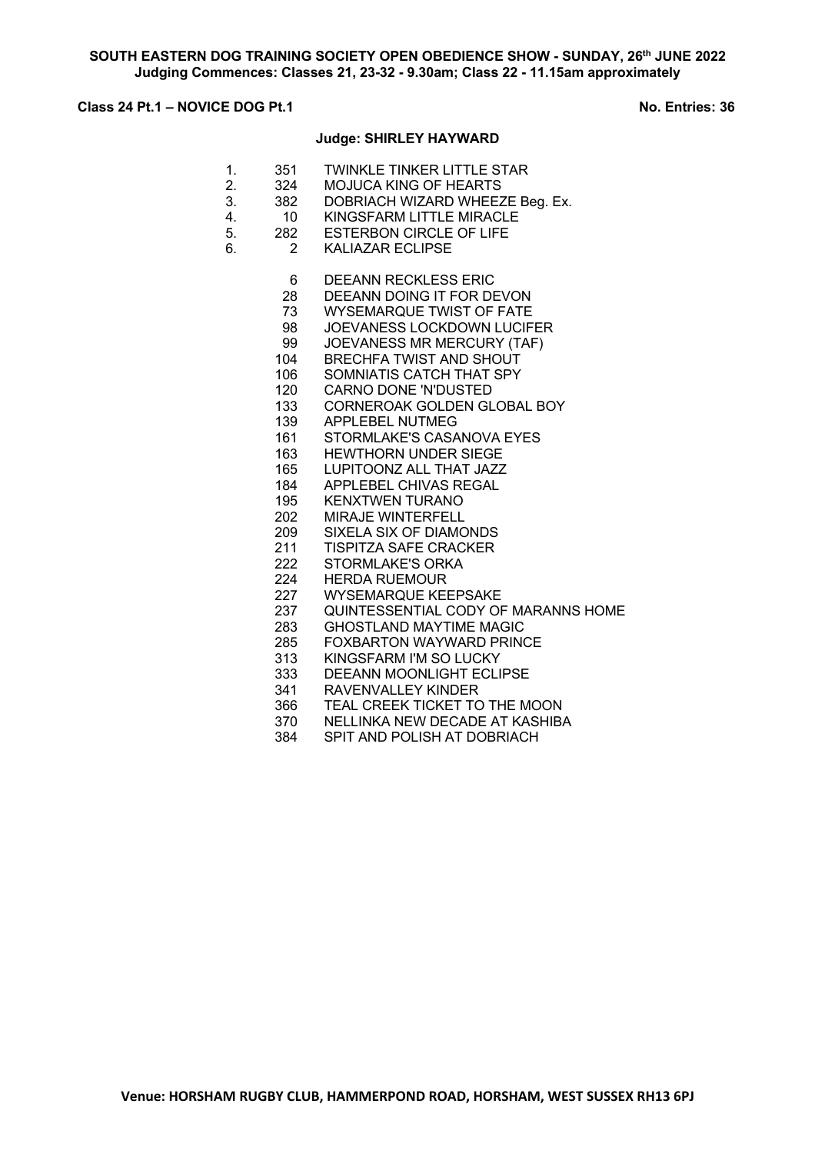## **Class 24 Pt.1 – NOVICE DOG Pt.1 No. Entries: 36**

### **Judge: SHIRLEY HAYWARD**

- 1. 351 TWINKLE TINKER LITTLE STAR
- 2. 324 MOJUCA KING OF HEARTS<br>3. 382 DOBRIACH WIZARD WHEEZ
- 3. 382 DOBRIACH WIZARD WHEEZE Beg. Ex.<br>4. 10 KINGSFARM LITTLE MIRACLE
- 4. 10 KINGSFARM LITTLE MIRACLE<br>5 282 ESTERBON CIRCLE OF LIFE
- 282 ESTERBON CIRCLE OF LIFE
- 6. 2 KALIAZAR ECLIPSE
	- DEEANN RECKLESS ERIC
	- DEEANN DOING IT FOR DEVON
	- WYSEMARQUE TWIST OF FATE
	- JOEVANESS LOCKDOWN LUCIFER
	- JOEVANESS MR MERCURY (TAF)
	- BRECHFA TWIST AND SHOUT
	- SOMNIATIS CATCH THAT SPY
	- CARNO DONE 'N'DUSTED
	- CORNEROAK GOLDEN GLOBAL BOY
	- APPLEBEL NUTMEG
	- STORMLAKE'S CASANOVA EYES
	- HEWTHORN UNDER SIEGE
	- LUPITOONZ ALL THAT JAZZ
	- APPLEBEL CHIVAS REGAL
	- KENXTWEN TURANO
	- 202 MIRAJE WINTERFELL<br>209 SIXELA SIX OF DIAMC
	- SIXELA SIX OF DIAMONDS
	- TISPITZA SAFE CRACKER
	- STORMLAKE'S ORKA
	- HERDA RUEMOUR
	- WYSEMARQUE KEEPSAKE
	- QUINTESSENTIAL CODY OF MARANNS HOME
	- GHOSTLAND MAYTIME MAGIC
	- FOXBARTON WAYWARD PRINCE
	- KINGSFARM I'M SO LUCKY
	- DEEANN MOONLIGHT ECLIPSE
	- RAVENVALLEY KINDER
	- TEAL CREEK TICKET TO THE MOON
	- 370 NELLINKA NEW DECADE AT KASHIBA<br>384 SPIT AND POLISH AT DOBRIACH
	- SPIT AND POLISH AT DOBRIACH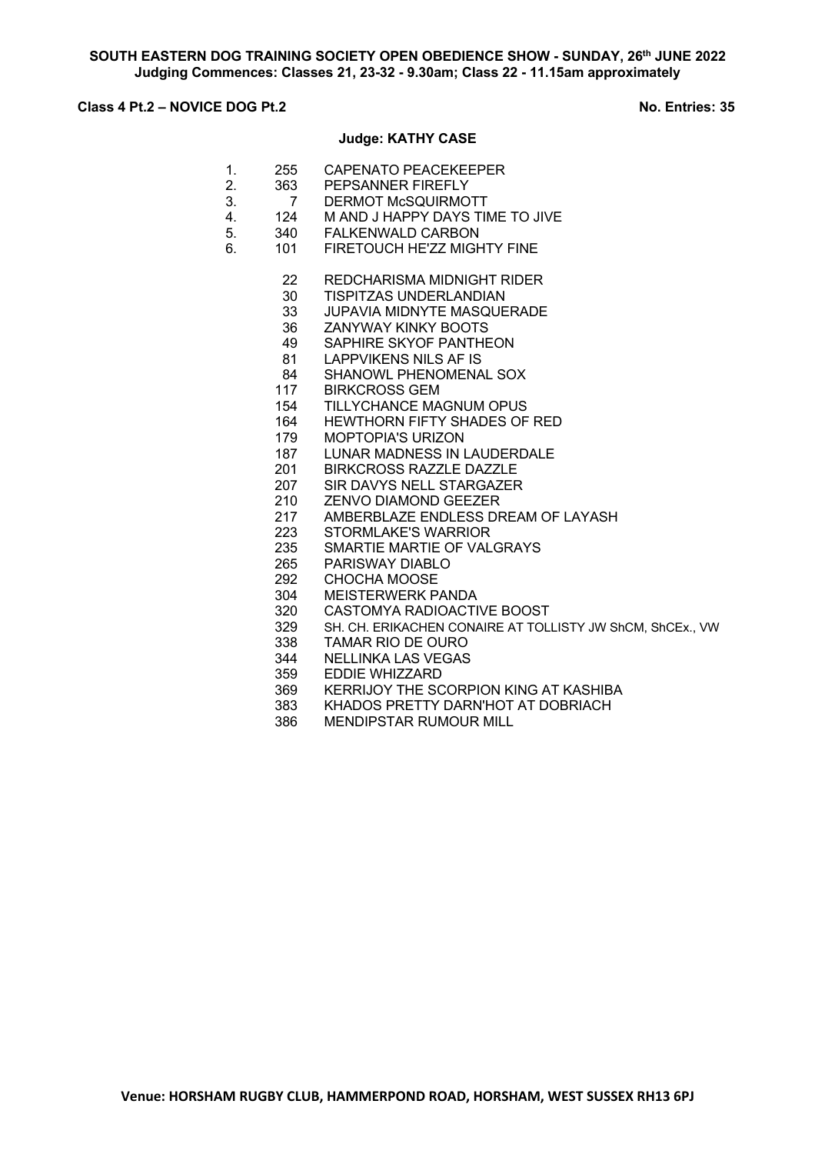# **Class 4 Pt.2 – NOVICE DOG Pt.2** No. Entries: 35

#### **Judge: KATHY CASE**

| 255 | CAPENATO PEACEKEEPER |
|-----|----------------------|
|     |                      |

- 2. 363 PEPSANNER FIREFLY<br>3. 7 DERMOT McSQUIRMO
- 3. 7 DERMOT McSQUIRMOTT<br>4. 124 M AND J HAPPY DAYS TII
- 4. 124 M AND J HAPPY DAYS TIME TO JIVE<br>5. 340 FALKENWALD CARBON
- 5. 340 FALKENWALD CARBON
- 6. 101 FIRETOUCH HE'ZZ MIGHTY FINE
	- REDCHARISMA MIDNIGHT RIDER
	- TISPITZAS UNDERLANDIAN
	- JUPAVIA MIDNYTE MASQUERADE
	- ZANYWAY KINKY BOOTS
	- SAPHIRE SKYOF PANTHEON
	- LAPPVIKENS NILS AF IS
	- SHANOWL PHENOMENAL SOX
	- BIRKCROSS GEM
	- TILLYCHANCE MAGNUM OPUS
	- HEWTHORN FIFTY SHADES OF RED
	- MOPTOPIA'S URIZON
	- LUNAR MADNESS IN LAUDERDALE
	- BIRKCROSS RAZZLE DAZZLE
	- SIR DAVYS NELL STARGAZER
	- ZENVO DIAMOND GEEZER
	- 217 AMBERBLAZE ENDLESS DREAM OF LAYASH<br>223 STORMLAKE'S WARRIOR
	- 223 STORMLAKE'S WARRIOR<br>235 SMARTIE MARTIE OF VAL
	- SMARTIE MARTIE OF VALGRAYS
	- PARISWAY DIABLO
	- CHOCHA MOOSE
	- MEISTERWERK PANDA
	- CASTOMYA RADIOACTIVE BOOST
	- SH. CH. ERIKACHEN CONAIRE AT TOLLISTY JW ShCM, ShCEx., VW
	- TAMAR RIO DE OURO
	- NELLINKA LAS VEGAS
	- EDDIE WHIZZARD
	- KERRIJOY THE SCORPION KING AT KASHIBA
	- KHADOS PRETTY DARN'HOT AT DOBRIACH
	- MENDIPSTAR RUMOUR MILL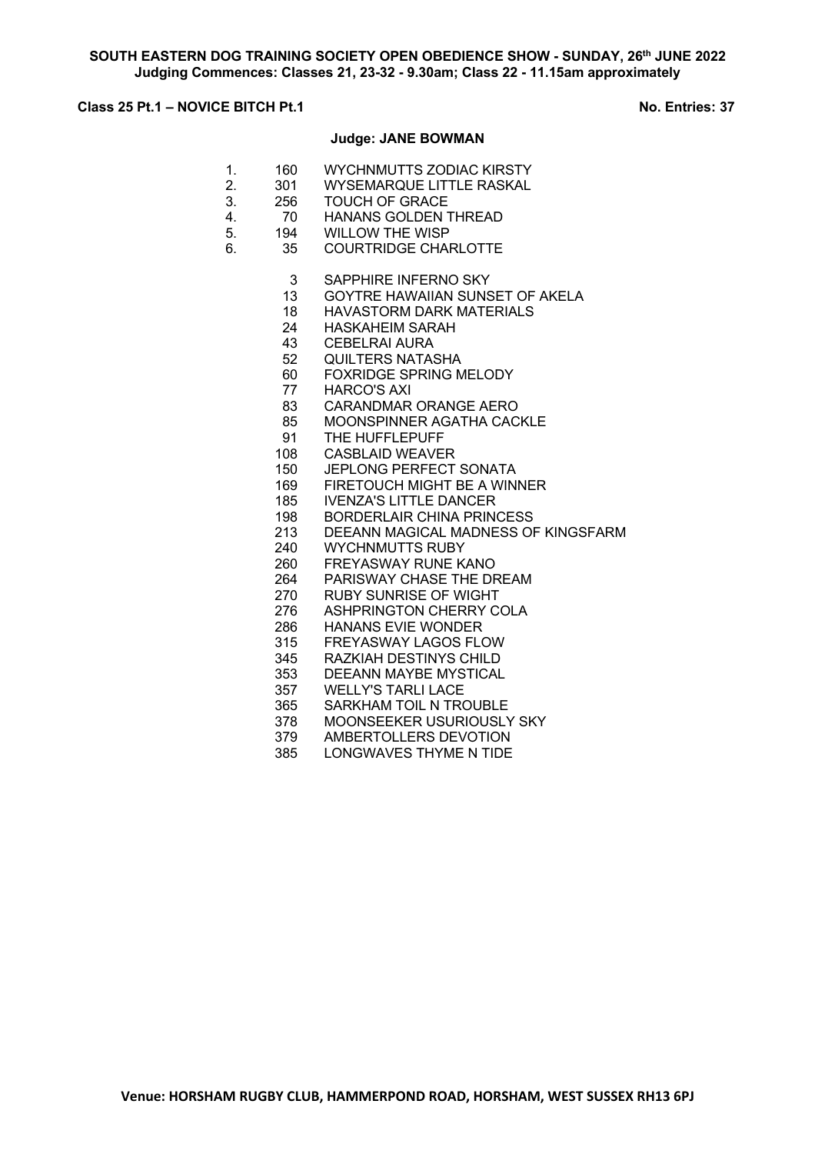# **Class 25 Pt.1 – NOVICE BITCH Pt.1** No. Entries: 37

#### **Judge: JANE BOWMAN**

- 1. 160 WYCHNMUTTS ZODIAC KIRSTY
- 2. 301 WYSEMARQUE LITTLE RASKAL<br>3. 256 TOUCH OF GRACE
- 3. 256 TOUCH OF GRACE
- 4. 70 HANANS GOLDEN THREAD<br>5. 194 WILLOW THE WISP
- 194 WILLOW THE WISP
- 6. 35 COURTRIDGE CHARLOTTE
	- 3 SAPPHIRE INFERNO SKY
	- 13 GOYTRE HAWAIIAN SUNSET OF AKELA
	- 18 HAVASTORM DARK MATERIALS
	- 24 HASKAHEIM SARAH
	- 43 CEBELRAI AURA
	- 52 QUILTERS NATASHA
	- 60 FOXRIDGE SPRING MELODY
	- 77 HARCO'S AXI
	- 83 CARANDMAR ORANGE AERO
	- 85 MOONSPINNER AGATHA CACKLE
	- 91 THE HUFFLEPUFF
	- 108 CASBLAID WEAVER
	- 150 JEPLONG PERFECT SONATA
	- 169 FIRETOUCH MIGHT BE A WINNER
	- 185 IVENZA'S LITTLE DANCER
	- 198 BORDERLAIR CHINA PRINCESS<br>213 DEEANN MAGICAL MADNESS OF
	- 213 DEEANN MAGICAL MADNESS OF KINGSFARM<br>240 WYCHNMUTTS RUBY
	- 240 WYCHNMUTTS RUBY<br>260 FREYASWAY RUNE K
	- FREYASWAY RUNE KANO
	- 264 PARISWAY CHASE THE DREAM
	- 270 RUBY SUNRISE OF WIGHT
	- 276 ASHPRINGTON CHERRY COLA
	- 286 HANANS EVIE WONDER
	- 315 FREYASWAY LAGOS FLOW
	- 345 RAZKIAH DESTINYS CHILD
	- 353 DEEANN MAYBE MYSTICAL
	- 357 WELLY'S TARLI LACE
	- 365 SARKHAM TOIL N TROUBLE
	- 378 MOONSEEKER USURIOUSLY SKY
	- 379 AMBERTOLLERS DEVOTION<br>385 LONGWAVES THYME N TIDE
	- LONGWAVES THYME N TIDE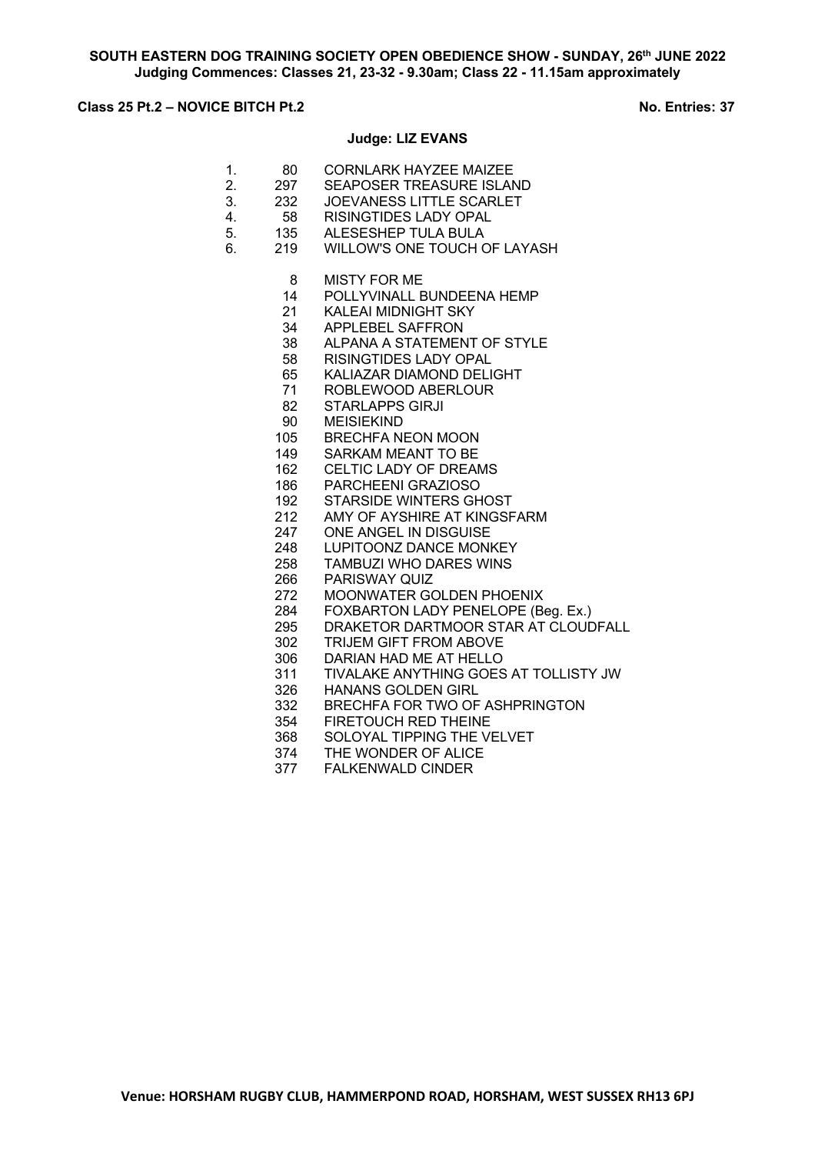# **Class 25 Pt.2 – NOVICE BITCH Pt.2 No. Entries: 37**

#### **Judge: LIZ EVANS**

- 1. 80 CORNLARK HAYZEE MAIZEE
- 2. 297 SEAPOSER TREASURE ISLAND<br>3. 232 JOEVANESS LITTLE SCARLET
	- 232 JOEVANESS LITTLE SCARLET<br>58 RISINGTIDES LADY OPAL
- 4. 58 RISINGTIDES LADY OPAL<br>5. 135 ALESESHEP TULA BULA
- ALESESHEP TULA BULA
- 6. 219 WILLOW'S ONE TOUCH OF LAYASH
	- MISTY FOR ME
	- POLLYVINALL BUNDEENA HEMP
	- KALEAI MIDNIGHT SKY
	- APPLEBEL SAFFRON
	- ALPANA A STATEMENT OF STYLE
	- RISINGTIDES LADY OPAL
	- KALIAZAR DIAMOND DELIGHT
	- ROBLEWOOD ABERLOUR
	- STARLAPPS GIRJI
	- MEISIEKIND
	- BRECHFA NEON MOON
	- SARKAM MEANT TO BE
	- CELTIC LADY OF DREAMS
	- PARCHEENI GRAZIOSO
	- STARSIDE WINTERS GHOST
	- 212 AMY OF AYSHIRE AT KINGSFARM<br>247 ONE ANGEL IN DISGUISE
	- 247 ONE ANGEL IN DISGUISE<br>248 LUPITOONZ DANCE MONE
	- 248 LUPITOONZ DANCE MONKEY<br>258 TAMBUZI WHO DARES WINS
	- **TAMBUZI WHO DARES WINS**
	- PARISWAY QUIZ
	- MOONWATER GOLDEN PHOENIX
	- FOXBARTON LADY PENELOPE (Beg. Ex.)
	- DRAKETOR DARTMOOR STAR AT CLOUDFALL
	- TRIJEM GIFT FROM ABOVE
	- DARIAN HAD ME AT HELLO
	- TIVALAKE ANYTHING GOES AT TOLLISTY JW
		- HANANS GOLDEN GIRL
	- BRECHFA FOR TWO OF ASHPRINGTON
	- FIRETOUCH RED THEINE
	- SOLOYAL TIPPING THE VELVET
	- THE WONDER OF ALICE
	- FALKENWALD CINDER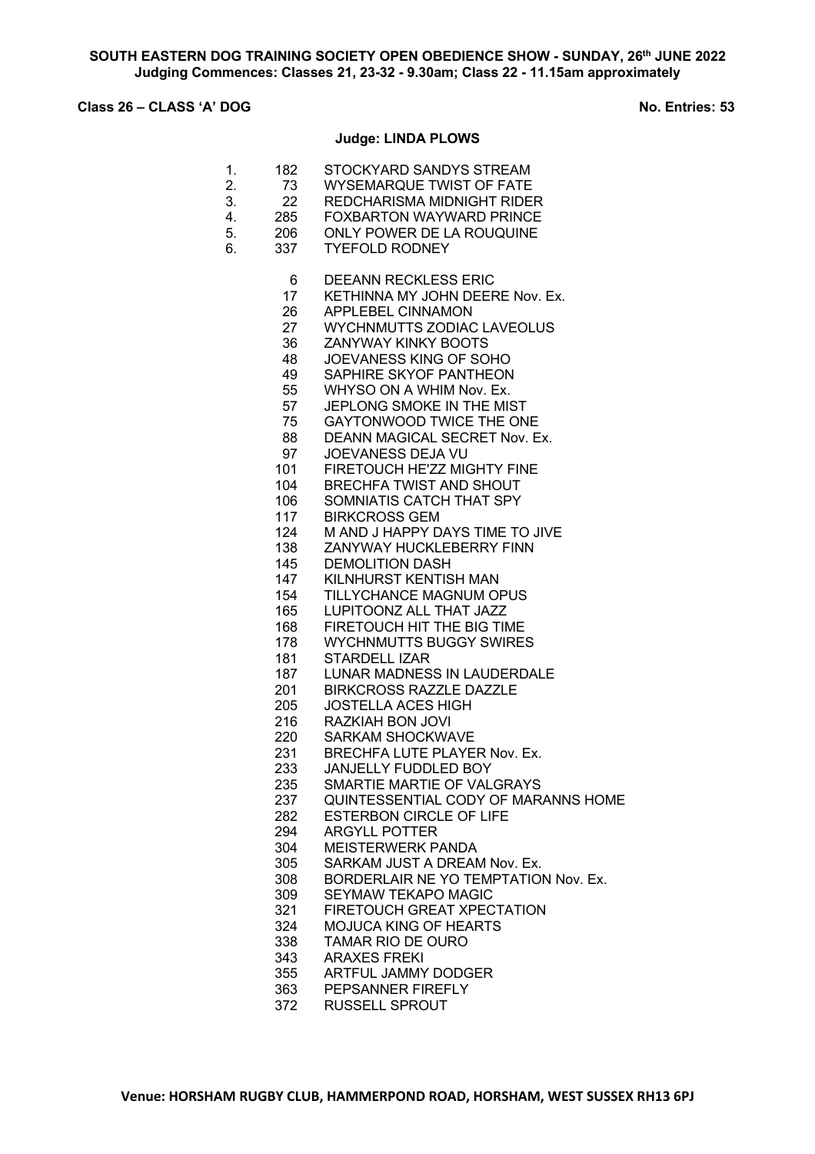# **Class 26 – CLASS 'A' DOG No. Entries: 53**

### **Judge: LINDA PLOWS**

| 182 | STOCKYARD SANDYS STREAM |
|-----|-------------------------|
|     |                         |

- 2. 73 WYSEMARQUE TWIST OF FATE<br>3. 22 REDCHARISMA MIDNIGHT RIDE
- 22 REDCHARISMA MIDNIGHT RIDER<br>285 FOXBARTON WAYWARD PRINCE
- 4. 285 FOXBARTON WAYWARD PRINCE<br>5. 206 ONLY POWER DE LA ROUQUINE ONLY POWER DE LA ROUQUINE
- 6. 337 TYEFOLD RODNEY
	- DEEANN RECKLESS ERIC
	- 17 KETHINNA MY JOHN DEERE Nov. Ex.
	- APPLEBEL CINNAMON
	- WYCHNMUTTS ZODIAC LAVEOLUS
	- ZANYWAY KINKY BOOTS
	- JOEVANESS KING OF SOHO
	- SAPHIRE SKYOF PANTHEON
	- WHYSO ON A WHIM Nov. Ex.
	- JEPLONG SMOKE IN THE MIST
	- GAYTONWOOD TWICE THE ONE
	- DEANN MAGICAL SECRET Nov. Ex.
	- JOEVANESS DEJA VU
	- FIRETOUCH HE'ZZ MIGHTY FINE
	- BRECHFA TWIST AND SHOUT
	- SOMNIATIS CATCH THAT SPY
	- BIRKCROSS GEM
	- M AND J HAPPY DAYS TIME TO JIVE
	- 138 ZANYWAY HUCKLEBERRY FINN<br>145 DEMOLITION DASH
		- DEMOLITION DASH
	- KILNHURST KENTISH MAN
	- TILLYCHANCE MAGNUM OPUS
	- LUPITOONZ ALL THAT JAZZ
	- FIRETOUCH HIT THE BIG TIME
	- WYCHNMUTTS BUGGY SWIRES
	- STARDELL IZAR
	- LUNAR MADNESS IN LAUDERDALE
	- BIRKCROSS RAZZLE DAZZLE
	- JOSTELLA ACES HIGH
	- RAZKIAH BON JOVI
	- SARKAM SHOCKWAVE
	- BRECHFA LUTE PLAYER Nov. Ex.
	- JANJELLY FUDDLED BOY
	- SMARTIE MARTIE OF VALGRAYS
	- QUINTESSENTIAL CODY OF MARANNS HOME
	- ESTERBON CIRCLE OF LIFE
	- ARGYLL POTTER
	- 304 MEISTERWERK PANDA<br>305 SARKAM JUST A DREAM
	- SARKAM JUST A DREAM Nov. Ex.
	- BORDERLAIR NE YO TEMPTATION Nov. Ex.
	- SEYMAW TEKAPO MAGIC
	- FIRETOUCH GREAT XPECTATION
	- MOJUCA KING OF HEARTS
	- TAMAR RIO DE OURO
	- ARAXES FREKI
	- ARTFUL JAMMY DODGER
	- PEPSANNER FIREFLY
	- RUSSELL SPROUT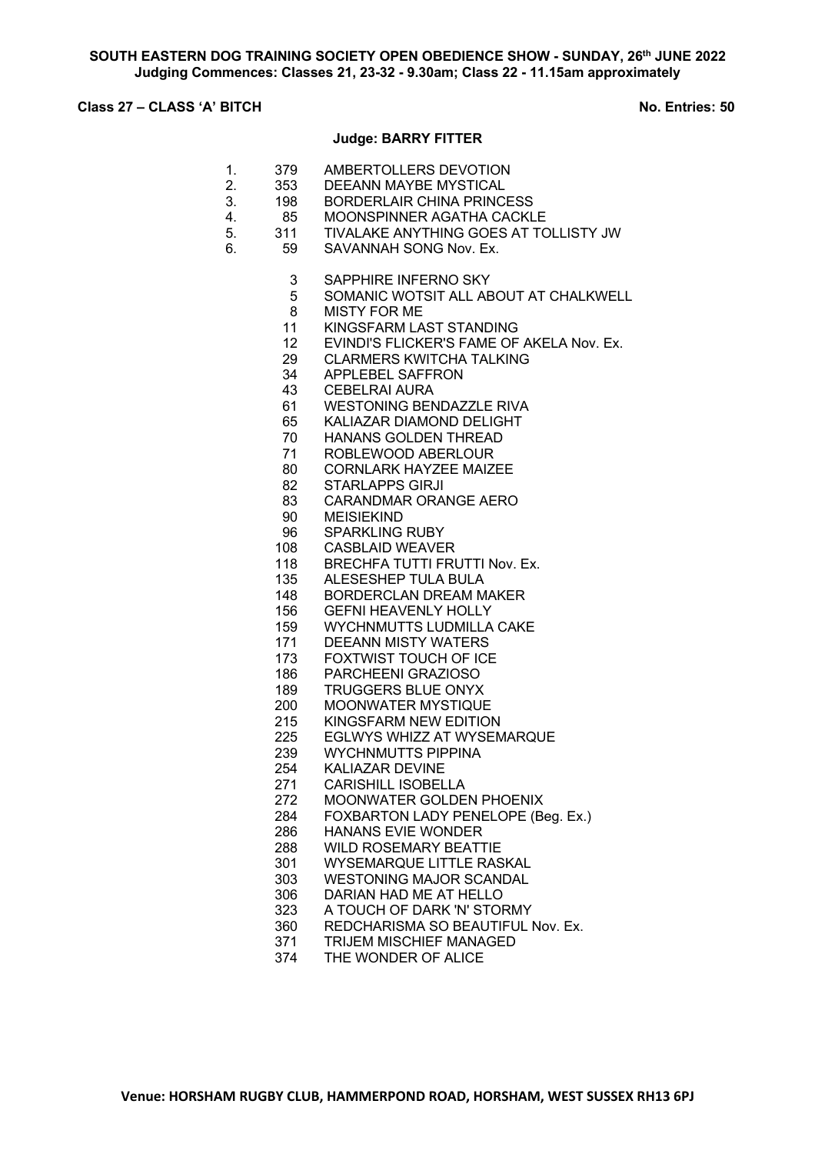# **Class 27 – CLASS 'A' BITCH No. Entries: 50**

### **Judge: BARRY FITTER**

- 1. 379 AMBERTOLLERS DEVOTION
- 2. 353 DEEANN MAYBE MYSTICAL<br>3. 198 BORDERLAIR CHINA PRINC
- 3. 198 BORDERLAIR CHINA PRINCESS<br>4. 85 MOONSPINNER AGATHA CACKL
- 4. 85 MOONSPINNER AGATHA CACKLE<br>5. 311 TIVALAKE ANYTHING GOES AT TO
- 5. 311 TIVALAKE ANYTHING GOES AT TOLLISTY JW
- 6. 59 SAVANNAH SONG Nov. Ex.
	- SAPPHIRE INFERNO SKY
		- SOMANIC WOTSIT ALL ABOUT AT CHALKWELL
	- MISTY FOR ME
	- KINGSFARM LAST STANDING
	- EVINDI'S FLICKER'S FAME OF AKELA Nov. Ex.
	- CLARMERS KWITCHA TALKING
	- APPLEBEL SAFFRON
	- CEBELRAI AURA
	- WESTONING BENDAZZLE RIVA
	- KALIAZAR DIAMOND DELIGHT
	- HANANS GOLDEN THREAD
	- ROBLEWOOD ABERLOUR
	- CORNLARK HAYZEE MAIZEE
	- STARLAPPS GIRJI
	- CARANDMAR ORANGE AERO
	- 90 MEISIEKIND<br>96 SPARKLING
	- 96 SPARKLING RUBY<br>108 CASBLAID WEAVEI
		- CASBLAID WEAVER
	- 118 BRECHFA TUTTI FRUTTI Nov. Ex.
	- ALESESHEP TULA BULA
	- BORDERCLAN DREAM MAKER
	- GEFNI HEAVENLY HOLLY
	- WYCHNMUTTS LUDMILLA CAKE
	- DEEANN MISTY WATERS
	- FOXTWIST TOUCH OF ICE
	- PARCHEENI GRAZIOSO
	- TRUGGERS BLUE ONYX
	- MOONWATER MYSTIQUE
	- KINGSFARM NEW EDITION
	- EGLWYS WHIZZ AT WYSEMARQUE
	- WYCHNMUTTS PIPPINA
	- KALIAZAR DEVINE
	- CARISHILL ISOBELLA
	- MOONWATER GOLDEN PHOENIX
	- FOXBARTON LADY PENELOPE (Beg. Ex.)
	- HANANS EVIE WONDER
	- 288 WILD ROSEMARY BEATTIE<br>301 WYSEMARQUE LITTLE RAS
	- WYSEMARQUE LITTLE RASKAL
	- WESTONING MAJOR SCANDAL
	- DARIAN HAD ME AT HELLO
	- A TOUCH OF DARK 'N' STORMY
	- REDCHARISMA SO BEAUTIFUL Nov. Ex.
	- TRIJEM MISCHIEF MANAGED
	- THE WONDER OF ALICE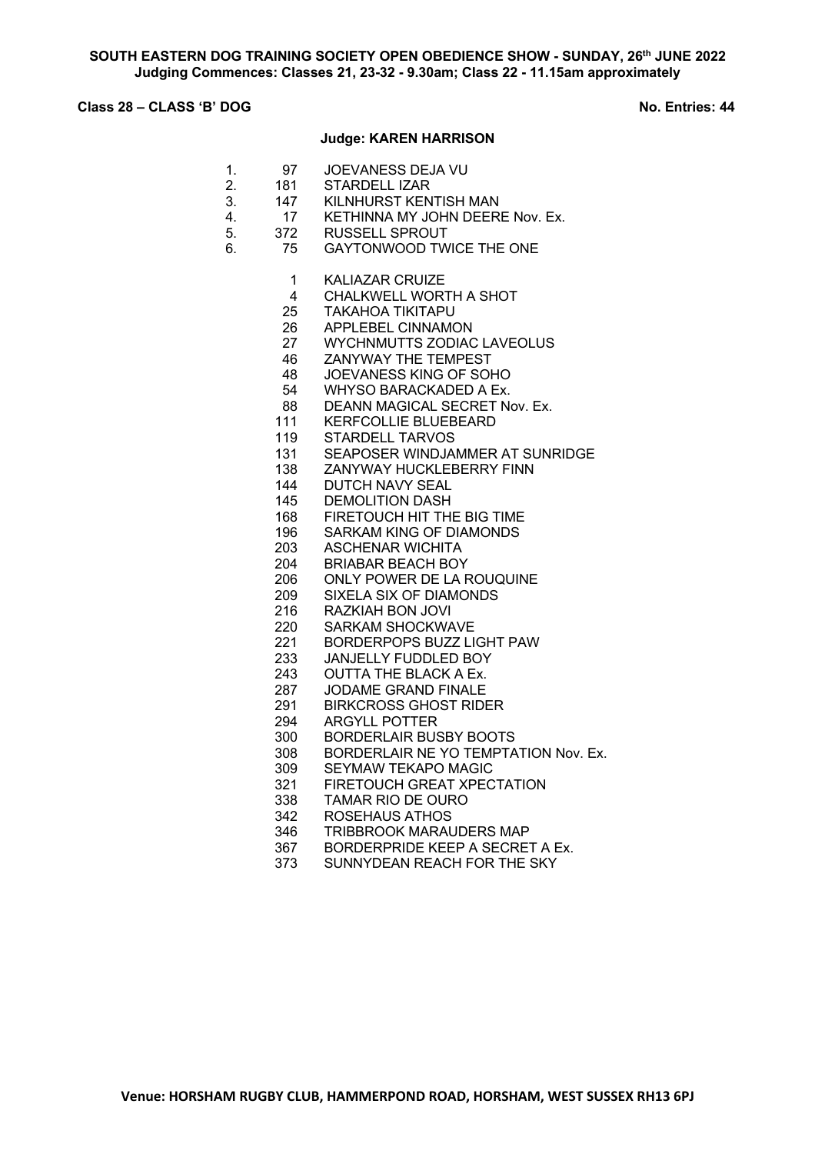## **Class 28 – CLASS 'B' DOG No. Entries: 44**

### **Judge: KAREN HARRISON**

- 1. 97 JOEVANESS DEJA VU
- 2. 181 STARDELL IZAR<br>3. 147 KILNHURST KEN
- 3. 147 KILNHURST KENTISH MAN
- 4. 17 KETHINNA MY JOHN DEERE Nov. Ex.<br>5. 372 RUSSELL SPROUT
- 5. 372 RUSSELL SPROUT
- 6. 75 GAYTONWOOD TWICE THE ONE
	- KALIAZAR CRUIZE
	- CHALKWELL WORTH A SHOT
	- TAKAHOA TIKITAPU
	- APPLEBEL CINNAMON
	- WYCHNMUTTS ZODIAC LAVEOLUS
	- ZANYWAY THE TEMPEST
	- JOEVANESS KING OF SOHO
	- WHYSO BARACKADED A Ex.
	- 88 DEANN MAGICAL SECRET Nov. Ex.
	- KERFCOLLIE BLUEBEARD
	- STARDELL TARVOS
	- SEAPOSER WINDJAMMER AT SUNRIDGE
	- ZANYWAY HUCKLEBERRY FINN
	- DUTCH NAVY SEAL
	- DEMOLITION DASH
	- 168 FIRETOUCH HIT THE BIG TIME<br>196 SARKAM KING OF DIAMONDS
	- 196 SARKAM KING OF DIAMONDS<br>203 ASCHENAR WICHITA
		- ASCHENAR WICHITA
	- BRIABAR BEACH BOY
	- ONLY POWER DE LA ROUQUINE
	- SIXELA SIX OF DIAMONDS
	- RAZKIAH BON JOVI
	- SARKAM SHOCKWAVE
	- BORDERPOPS BUZZ LIGHT PAW
	- JANJELLY FUDDLED BOY
	- OUTTA THE BLACK A Ex.
	- JODAME GRAND FINALE
	- 291 BIRKCROSS GHOST RIDER<br>294 ARGYLL POTTER
	- ARGYLL POTTER
	- BORDERLAIR BUSBY BOOTS
	- BORDERLAIR NE YO TEMPTATION Nov. Ex.
	- SEYMAW TEKAPO MAGIC
	- FIRETOUCH GREAT XPECTATION
	- TAMAR RIO DE OURO
	- ROSEHAUS ATHOS
	- TRIBBROOK MARAUDERS MAP
	- 367 BORDERPRIDE KEEP A SECRET A Ex.<br>373 SUNNYDEAN REACH FOR THE SKY
	- SUNNYDEAN REACH FOR THE SKY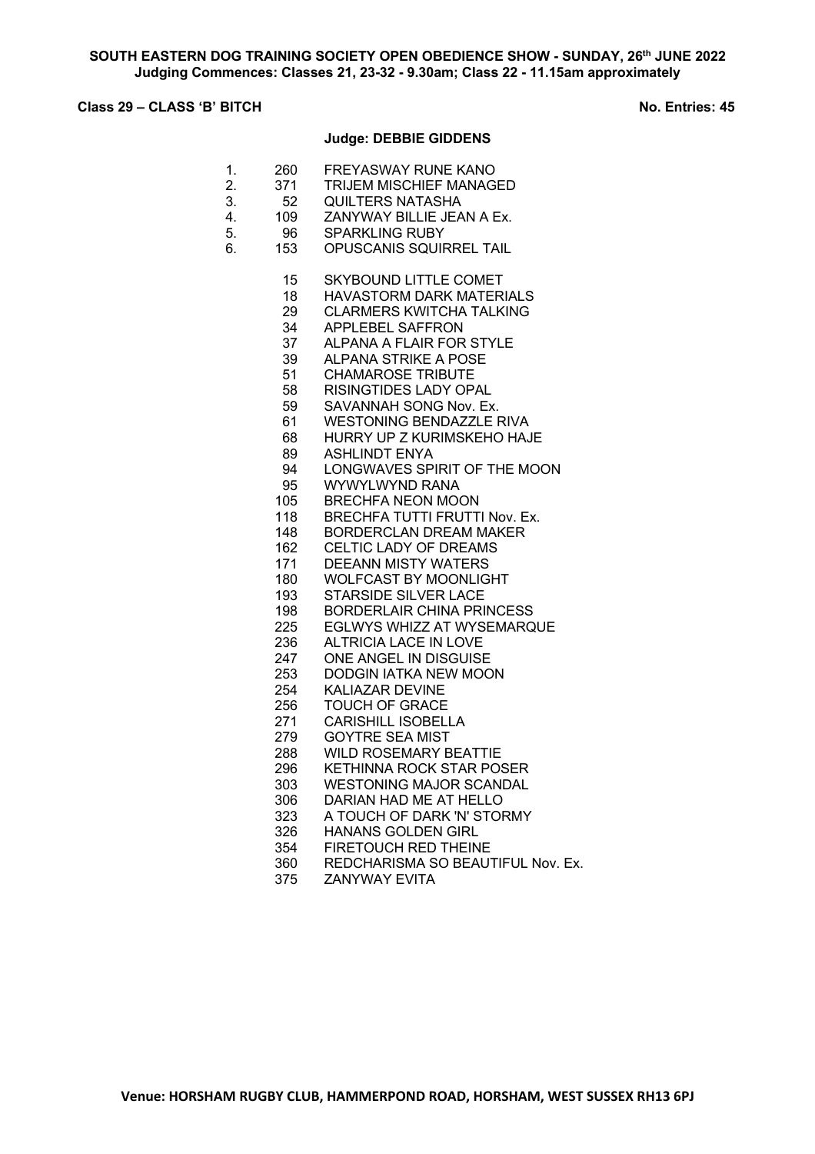# **Class 29 – CLASS 'B' BITCH No. Entries: 45**

## **Judge: DEBBIE GIDDENS**

|  |  | 260 | FREYASWAY RUNE KANO |
|--|--|-----|---------------------|
|--|--|-----|---------------------|

- 2. 371 TRIJEM MISCHIEF MANAGED<br>3. 52 QUILTERS NATASHA
- 3. 52 QUILTERS NATASHA<br>4. 109 ZANYWAY BILLIE JEA
- 4. 109 ZANYWAY BILLIE JEAN A Ex.<br>5. 96 SPARKLING RUBY
- SPARKLING RUBY
- 6. 153 OPUSCANIS SQUIRREL TAIL
	- SKYBOUND LITTLE COMET
	- HAVASTORM DARK MATERIALS
	- CLARMERS KWITCHA TALKING
	- APPLEBEL SAFFRON
	- ALPANA A FLAIR FOR STYLE
	- ALPANA STRIKE A POSE
	- CHAMAROSE TRIBUTE
	- RISINGTIDES LADY OPAL
	- SAVANNAH SONG Nov. Ex.
	- WESTONING BENDAZZLE RIVA
	- HURRY UP Z KURIMSKEHO HAJE
	- ASHLINDT ENYA
	- LONGWAVES SPIRIT OF THE MOON
	- WYWYLWYND RANA
	- BRECHFA NEON MOON
	- BRECHFA TUTTI FRUTTI Nov. Ex.
	- BORDERCLAN DREAM MAKER
	- CELTIC LADY OF DREAMS
	- DEEANN MISTY WATERS
	- WOLFCAST BY MOONLIGHT
	- STARSIDE SILVER LACE
	- BORDERLAIR CHINA PRINCESS
	- EGLWYS WHIZZ AT WYSEMARQUE
	- ALTRICIA LACE IN LOVE
	- ONE ANGEL IN DISGUISE
	- DODGIN IATKA NEW MOON
	- KALIAZAR DEVINE
	- TOUCH OF GRACE
	- CARISHILL ISOBELLA
	- GOYTRE SEA MIST
	- WILD ROSEMARY BEATTIE
	- KETHINNA ROCK STAR POSER
	- WESTONING MAJOR SCANDAL
	- DARIAN HAD ME AT HELLO
	- A TOUCH OF DARK 'N' STORMY
	- HANANS GOLDEN GIRL
	- 354 FIRETOUCH RED THEINE<br>360 REDCHARISMA SO BEAUT
	- 360 REDCHARISMA SO BEAUTIFUL Nov. Ex.<br>375 ZANYWAY EVITA
		- ZANYWAY EVITA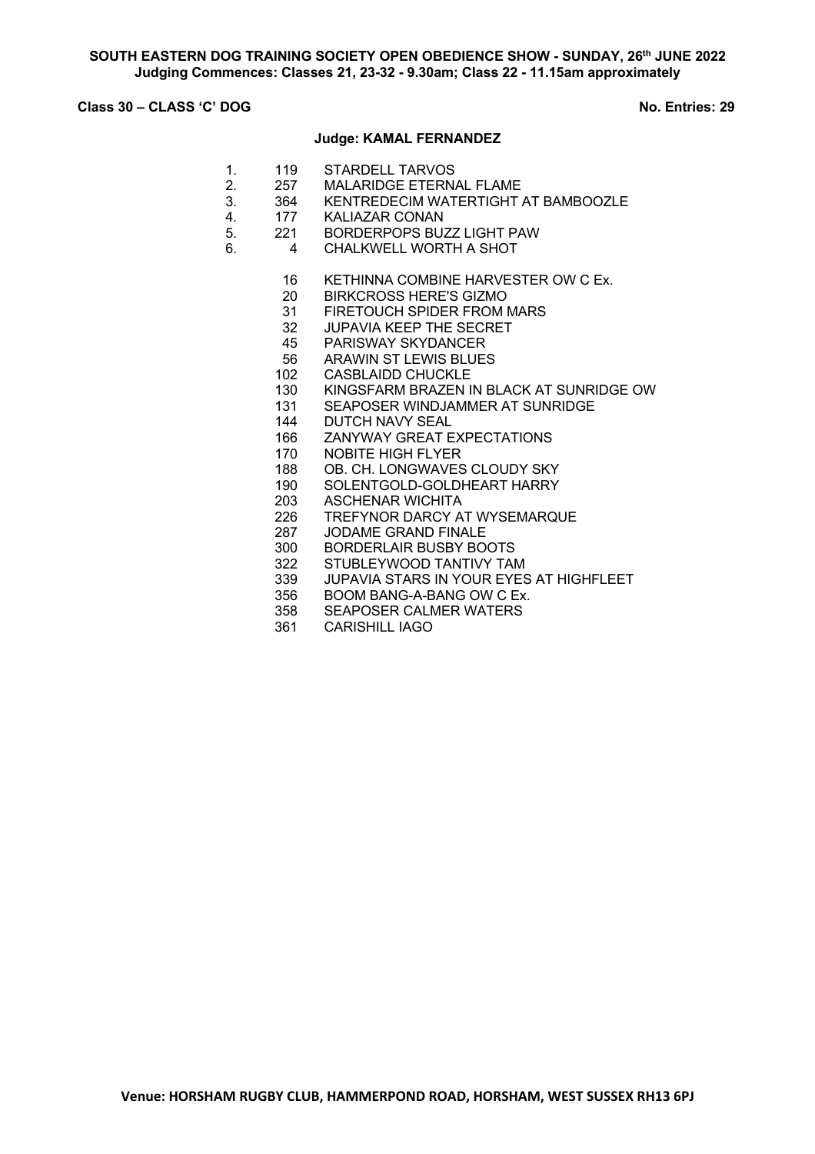## **Class 30 – CLASS 'C' DOG No. Entries: 29**

### **Judge: KAMAL FERNANDEZ**

- 1. 119 STARDELL TARVOS
- 2. 257 MALARIDGE ETERNAL FLAME<br>3. 364 KENTREDECIM WATERTIGHT
- 3. 364 KENTREDECIM WATERTIGHT AT BAMBOOZLE<br>4. 177 KALIAZAR CONAN
- 4. 177 KALIAZAR CONAN<br>5. 221 BORDERPOPS BUZ
	- 221 BORDERPOPS BUZZ LIGHT PAW
- 6. 4 CHALKWELL WORTH A SHOT
	- 16 KETHINNA COMBINE HARVESTER OW C Ex.
	- 20 BIRKCROSS HERE'S GIZMO
	- 31 FIRETOUCH SPIDER FROM MARS
	- 32 JUPAVIA KEEP THE SECRET
	- 45 PARISWAY SKYDANCER
	- 56 ARAWIN ST LEWIS BLUES
	- 102 CASBLAIDD CHUCKLE
	- 130 KINGSFARM BRAZEN IN BLACK AT SUNRIDGE OW
	- 131 SEAPOSER WINDJAMMER AT SUNRIDGE
	- 144 DUTCH NAVY SEAL
	- 166 ZANYWAY GREAT EXPECTATIONS
	- 170 NOBITE HIGH FLYER
	- 188 OB. CH. LONGWAVES CLOUDY SKY
	- 190 SOLENTGOLD-GOLDHEART HARRY
	- 203 ASCHENAR WICHITA
	- 226 TREFYNOR DARCY AT WYSEMARQUE<br>287 JODAME GRAND FINALE
	- 287 JODAME GRAND FINALE<br>300 BORDERLAIR BUSBY BO
	- 300 BORDERLAIR BUSBY BOOTS<br>322 STUBLEYWOOD TANTIVY TAM
	- STUBLEYWOOD TANTIVY TAM
	- 339 JUPAVIA STARS IN YOUR EYES AT HIGHFLEET
	- 356 BOOM BANG-A-BANG OW C Ex.
	- 358 SEAPOSER CALMER WATERS
	- 361 CARISHILL IAGO